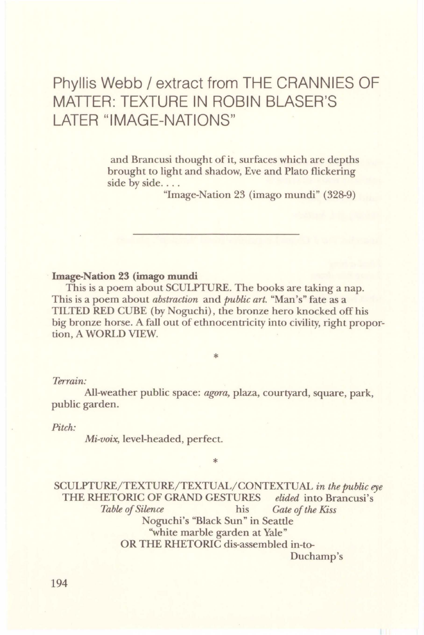# Phyllis Webb/ extract from THE CRANNIES OF MATTER: TEXTURE IN ROBIN BLASER'S LATER "IMAGE-NATIONS"

and Brancusi thought of it, surfaces which are depths brought to light and shadow, Eve and Plato flickering side by side....

"Image-Nation 23 (imago mundi" (328-9)

### **Image-Nation 23 (imago mundi**

This is a poem about SCULPTURE. The books are taking a nap. This is a poem about *abstraction* and *public art.* "Man's" fate as a TILTED RED CUBE (by Noguchi), the bronze hero knocked off his big bronze horse. A fall out of ethnocentricity into civility, right proportion, A WORLD VIEW.

#### *Terrain:*

All-weather public space: *agora,* plaza, courtyard, square, park, public garden.

\*

\*

#### *Pitch:*

*Mi-voix,* level-headed, perfect.

SCULPTURE/TEXTURE/TEXTUAL/CONTEXTUAL *in the public eye*  THE RHETORIC OF GRAND GESTURES *elided* into Brancusi's *Table of Silence* his *Gate of the Kiss* Noguchi's "Black Sun" in Seattle "white marble garden at Yale" OR THE RHETORIC dis-assembled in-to-

Duchamp's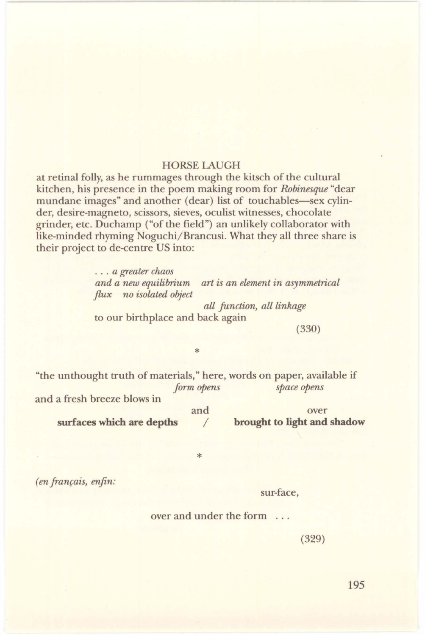## HORSELAUGH

at retinal folly, as he rummages through the kitsch of the cultural kitchen, his presence in the poem making room for *Robinesque* "dear mundane images" and another (dear) list of touchables-sex cylinder, desire-magneto, scissors, sieves, oculist witnesses, chocolate grinder, etc. Duchamp ("of the field") an unlikely collaborator with like-minded rhyming Noguchi/Brancusi. What they all three share is their project to de-centre US into:

> . . . *a greater chaos*  and a new equilibrium art is an element in asymmetrical *flux no isolated object*

*all function, all linkage*  to our birthplace and back again

(330)

"the unthought truth of materials," here, words on paper, available if *form opens space opens*  and a fresh breeze blows in and over

\*

\*

**surf aces which are depths** /

**brought to light and shadow** 

*(en français, enfin:* 

sur-face,

over and under the form ...

(329)